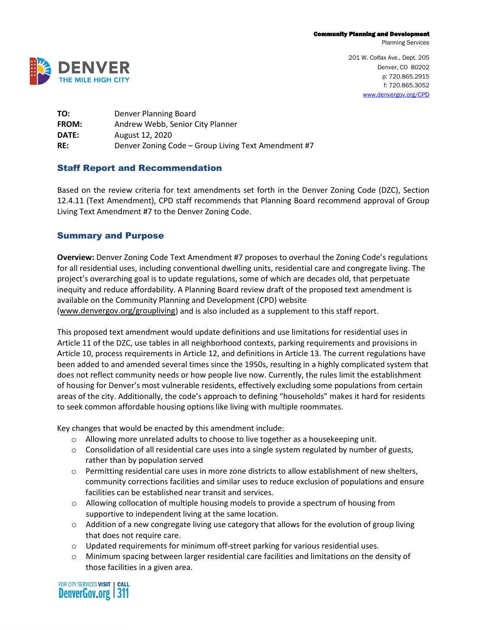Planning Services



201 W. Colfax Ave., Dept. 205 Denver, CO 80202 p: 720.865.2915 f: 720.865.3052 [www.denvergov.org/CPD](http://www.denvergov.org/CPD)

**TO:** Denver Planning Board **FROM:** Andrew Webb, Senior City Planner **DATE:** August 12, 2020 **RE:** Denver Zoning Code – Group Living Text Amendment #7

### Staff Report and Recommendation

Based on the review criteria for text amendments set forth in the Denver Zoning Code (DZC), Section 12.4.11 (Text Amendment), CPD staff recommends that Planning Board recommend approval of Group Living Text Amendment #7 to the Denver Zoning Code.

## Summary and Purpose

**Overview:** Denver Zoning Code Text Amendment #7 proposes to overhaul the Zoning Code's regulations for all residential uses, including conventional dwelling units, residential care and congregate living. The project's overarching goal is to update regulations, some of which are decades old, that perpetuate inequity and reduce affordability. A Planning Board review draft of the proposed text amendment is available on the Community Planning and Development (CPD) website [\(www.denvergov.org/groupliving\)](http://www.denvergov.org/groupliving) and is also included as a supplement to this staff report.

This proposed text amendment would update definitions and use limitations for residential uses in Article 11 of the DZC, use tables in all neighborhood contexts, parking requirements and provisions in Article 10, process requirements in Article 12, and definitions in Article 13. The current regulations have been added to and amended several times since the 1950s, resulting in a highly complicated system that does not reflect community needs or how people live now. Currently, the rules limit the establishment of housing for Denver's most vulnerable residents, effectively excluding some populations from certain areas of the city. Additionally, the code's approach to defining "households" makes it hard for residents to seek common affordable housing options like living with multiple roommates.

Key changes that would be enacted by this amendment include:

- o Allowing more unrelated adults to choose to live together as a housekeeping unit.
- $\circ$  Consolidation of all residential care uses into a single system regulated by number of guests, rather than by population served
- o Permitting residential care uses in more zone districts to allow establishment of new shelters, community corrections facilities and similar uses to reduce exclusion of populations and ensure facilities can be established near transit and services.
- o Allowing collocation of multiple housing models to provide a spectrum of housing from supportive to independent living at the same location.
- $\circ$  Addition of a new congregate living use category that allows for the evolution of group living that does not require care.
- $\circ$  Updated requirements for minimum off-street parking for various residential uses.
- o Minimum spacing between larger residential care facilities and limitations on the density of those facilities in a given area.

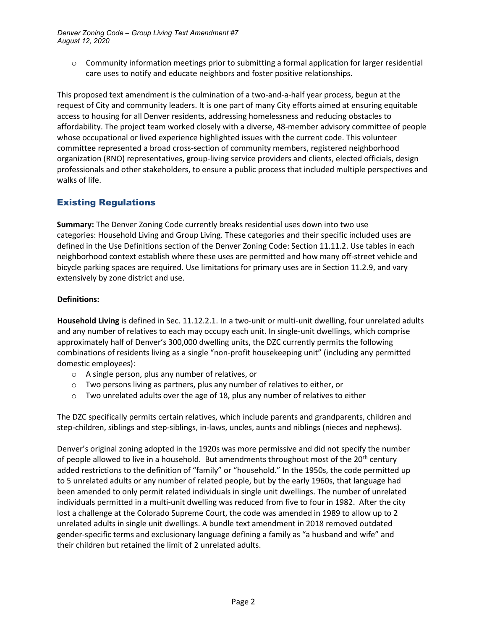$\circ$  Community information meetings prior to submitting a formal application for larger residential care uses to notify and educate neighbors and foster positive relationships.

This proposed text amendment is the culmination of a two-and-a-half year process, begun at the request of City and community leaders. It is one part of many City efforts aimed at ensuring equitable access to housing for all Denver residents, addressing homelessness and reducing obstacles to affordability. The project team worked closely with a diverse, 48-member advisory committee of people whose occupational or lived experience highlighted issues with the current code. This volunteer committee represented a broad cross-section of community members, registered neighborhood organization (RNO) representatives, group-living service providers and clients, elected officials, design professionals and other stakeholders, to ensure a public process that included multiple perspectives and walks of life.

# Existing Regulations

**Summary:** The Denver Zoning Code currently breaks residential uses down into two use categories: Household Living and Group Living. These categories and their specific included uses are defined in the Use Definitions section of the Denver Zoning Code: Section 11.11.2. Use tables in each neighborhood context establish where these uses are permitted and how many off-street vehicle and bicycle parking spaces are required. Use limitations for primary uses are in Section 11.2.9, and vary extensively by zone district and use.

## **Definitions:**

**Household Living** is defined in Sec. 11.12.2.1. In a two-unit or multi-unit dwelling, four unrelated adults and any number of relatives to each may occupy each unit. In single-unit dwellings, which comprise approximately half of Denver's 300,000 dwelling units, the DZC currently permits the following combinations of residents living as a single "non-profit housekeeping unit" (including any permitted domestic employees):

- o A single person, plus any number of relatives, or
- o Two persons living as partners, plus any number of relatives to either, or
- $\circ$  Two unrelated adults over the age of 18, plus any number of relatives to either

The DZC specifically permits certain relatives, which include parents and grandparents, children and step-children, siblings and step-siblings, in-laws, uncles, aunts and niblings (nieces and nephews).

Denver's original zoning adopted in the 1920s was more permissive and did not specify the number of people allowed to live in a household. But amendments throughout most of the  $20^{th}$  century added restrictions to the definition of "family" or "household." In the 1950s, the code permitted up to 5 unrelated adults or any number of related people, but by the early 1960s, that language had been amended to only permit related individuals in single unit dwellings. The number of unrelated individuals permitted in a multi-unit dwelling was reduced from five to four in 1982. After the city lost a challenge at the Colorado Supreme Court, the code was amended in 1989 to allow up to 2 unrelated adults in single unit dwellings. A bundle text amendment in 2018 removed outdated gender-specific terms and exclusionary language defining a family as "a husband and wife" and their children but retained the limit of 2 unrelated adults.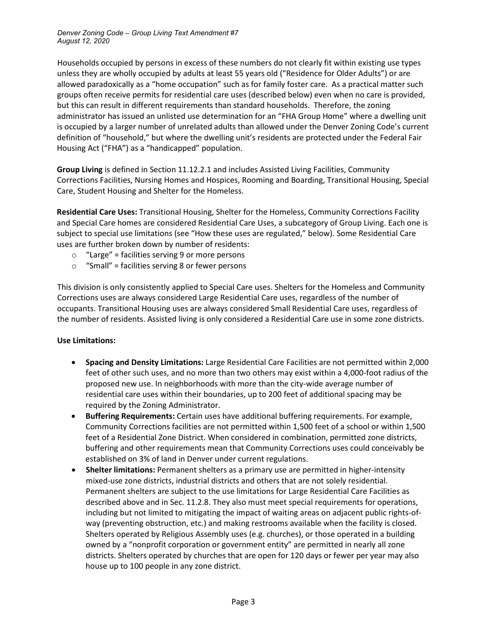Households occupied by persons in excess of these numbers do not clearly fit within existing use types unless they are wholly occupied by adults at least 55 years old ("Residence for Older Adults") or are allowed paradoxically as a "home occupation" such as for family foster care. As a practical matter such groups often receive permits for residential care uses (described below) even when no care is provided, but this can result in different requirements than standard households. Therefore, the zoning administrator has issued an unlisted use determination for an "FHA Group Home" where a dwelling unit is occupied by a larger number of unrelated adults than allowed under the Denver Zoning Code's current definition of "household," but where the dwelling unit's residents are protected under the Federal Fair Housing Act ("FHA") as a "handicapped" population.

**Group Living** is defined in Section 11.12.2.1 and includes Assisted Living Facilities, Community Corrections Facilities, Nursing Homes and Hospices, Rooming and Boarding, Transitional Housing, Special Care, Student Housing and Shelter for the Homeless.

**Residential Care Uses:** Transitional Housing, Shelter for the Homeless, Community Corrections Facility and Special Care homes are considered Residential Care Uses, a subcategory of Group Living. Each one is subject to special use limitations (see "How these uses are regulated," below). Some Residential Care uses are further broken down by number of residents:

- $\circ$  "Large" = facilities serving 9 or more persons
- $\circ$  "Small" = facilities serving 8 or fewer persons

This division is only consistently applied to Special Care uses. Shelters for the Homeless and Community Corrections uses are always considered Large Residential Care uses, regardless of the number of occupants. Transitional Housing uses are always considered Small Residential Care uses, regardless of the number of residents. Assisted living is only considered a Residential Care use in some zone districts.

### **Use Limitations:**

- **Spacing and Density Limitations:** Large Residential Care Facilities are not permitted within 2,000 feet of other such uses, and no more than two others may exist within a 4,000-foot radius of the proposed new use. In neighborhoods with more than the city-wide average number of residential care uses within their boundaries, up to 200 feet of additional spacing may be required by the Zoning Administrator.
- **Buffering Requirements:** Certain uses have additional buffering requirements. For example, Community Corrections facilities are not permitted within 1,500 feet of a school or within 1,500 feet of a Residential Zone District. When considered in combination, permitted zone districts, buffering and other requirements mean that Community Corrections uses could conceivably be established on 3% of land in Denver under current regulations.
- **Shelter limitations:** Permanent shelters as a primary use are permitted in higher-intensity mixed-use zone districts, industrial districts and others that are not solely residential. Permanent shelters are subject to the use limitations for Large Residential Care Facilities as described above and in Sec. 11.2.8. They also must meet special requirements for operations, including but not limited to mitigating the impact of waiting areas on adjacent public rights-ofway (preventing obstruction, etc.) and making restrooms available when the facility is closed. Shelters operated by Religious Assembly uses (e.g. churches), or those operated in a building owned by a "nonprofit corporation or government entity" are permitted in nearly all zone districts. Shelters operated by churches that are open for 120 days or fewer per year may also house up to 100 people in any zone district.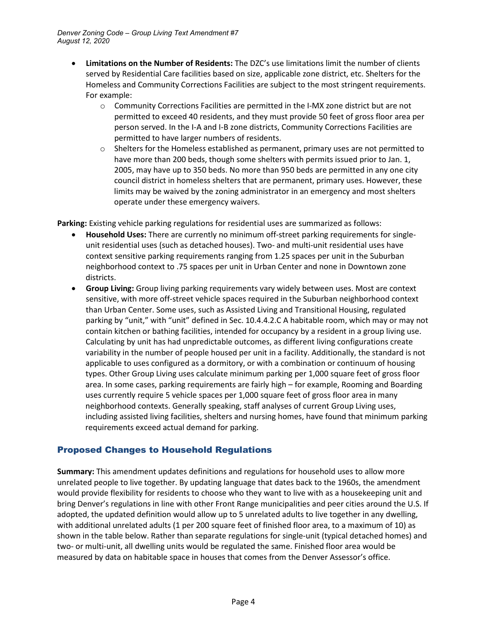- **Limitations on the Number of Residents:** The DZC's use limitations limit the number of clients served by Residential Care facilities based on size, applicable zone district, etc. Shelters for the Homeless and Community Corrections Facilities are subject to the most stringent requirements. For example:
	- o Community Corrections Facilities are permitted in the I-MX zone district but are not permitted to exceed 40 residents, and they must provide 50 feet of gross floor area per person served. In the I-A and I-B zone districts, Community Corrections Facilities are permitted to have larger numbers of residents.
	- $\circ$  Shelters for the Homeless established as permanent, primary uses are not permitted to have more than 200 beds, though some shelters with permits issued prior to Jan. 1, 2005, may have up to 350 beds. No more than 950 beds are permitted in any one city council district in homeless shelters that are permanent, primary uses. However, these limits may be waived by the zoning administrator in an emergency and most shelters operate under these emergency waivers.

**Parking:** Existing vehicle parking regulations for residential uses are summarized as follows:

- **Household Uses:** There are currently no minimum off-street parking requirements for singleunit residential uses (such as detached houses). Two- and multi-unit residential uses have context sensitive parking requirements ranging from 1.25 spaces per unit in the Suburban neighborhood context to .75 spaces per unit in Urban Center and none in Downtown zone districts.
- **Group Living:** Group living parking requirements vary widely between uses. Most are context sensitive, with more off-street vehicle spaces required in the Suburban neighborhood context than Urban Center. Some uses, such as Assisted Living and Transitional Housing, regulated parking by "unit," with "unit" defined in Sec. 10.4.4.2.C A habitable room, which may or may not contain kitchen or bathing facilities, intended for occupancy by a resident in a group living use. Calculating by unit has had unpredictable outcomes, as different living configurations create variability in the number of people housed per unit in a facility. Additionally, the standard is not applicable to uses configured as a dormitory, or with a combination or continuum of housing types. Other Group Living uses calculate minimum parking per 1,000 square feet of gross floor area. In some cases, parking requirements are fairly high – for example, Rooming and Boarding uses currently require 5 vehicle spaces per 1,000 square feet of gross floor area in many neighborhood contexts. Generally speaking, staff analyses of current Group Living uses, including assisted living facilities, shelters and nursing homes, have found that minimum parking requirements exceed actual demand for parking.

# Proposed Changes to Household Regulations

**Summary:** This amendment updates definitions and regulations for household uses to allow more unrelated people to live together. By updating language that dates back to the 1960s, the amendment would provide flexibility for residents to choose who they want to live with as a housekeeping unit and bring Denver's regulations in line with other Front Range municipalities and peer cities around the U.S. If adopted, the updated definition would allow up to 5 unrelated adults to live together in any dwelling, with additional unrelated adults (1 per 200 square feet of finished floor area, to a maximum of 10) as shown in the table below. Rather than separate regulations for single-unit (typical detached homes) and two- or multi-unit, all dwelling units would be regulated the same. Finished floor area would be measured by data on habitable space in houses that comes from the Denver Assessor's office.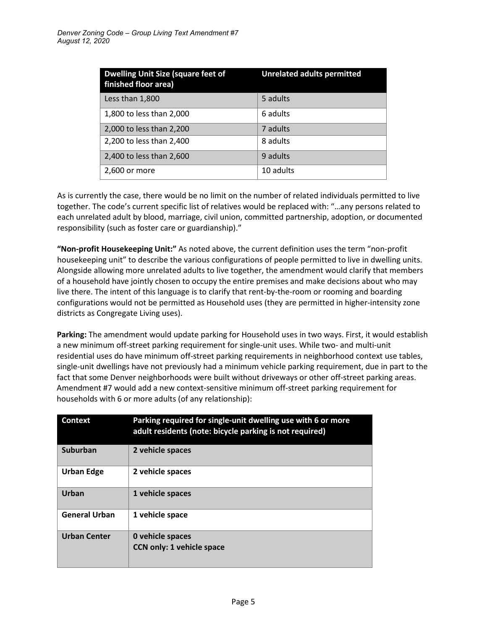| <b>Dwelling Unit Size (square feet of</b><br>finished floor area) | <b>Unrelated adults permitted</b> |
|-------------------------------------------------------------------|-----------------------------------|
| Less than 1,800                                                   | 5 adults                          |
| 1,800 to less than 2,000                                          | 6 adults                          |
| 2,000 to less than 2,200                                          | 7 adults                          |
| 2,200 to less than 2,400                                          | 8 adults                          |
| 2,400 to less than 2,600                                          | 9 adults                          |
| 2,600 or more                                                     | 10 adults                         |

As is currently the case, there would be no limit on the number of related individuals permitted to live together. The code's current specific list of relatives would be replaced with: "…any persons related to each unrelated adult by blood, marriage, civil union, committed partnership, adoption, or documented responsibility (such as foster care or guardianship)."

**"Non-profit Housekeeping Unit:"** As noted above, the current definition uses the term "non-profit housekeeping unit" to describe the various configurations of people permitted to live in dwelling units. Alongside allowing more unrelated adults to live together, the amendment would clarify that members of a household have jointly chosen to occupy the entire premises and make decisions about who may live there. The intent of this language is to clarify that rent-by-the-room or rooming and boarding configurations would not be permitted as Household uses (they are permitted in higher-intensity zone districts as Congregate Living uses).

**Parking:** The amendment would update parking for Household uses in two ways. First, it would establish a new minimum off-street parking requirement for single-unit uses. While two- and multi-unit residential uses do have minimum off-street parking requirements in neighborhood context use tables, single-unit dwellings have not previously had a minimum vehicle parking requirement, due in part to the fact that some Denver neighborhoods were built without driveways or other off-street parking areas. Amendment #7 would add a new context-sensitive minimum off-street parking requirement for households with 6 or more adults (of any relationship):

| <b>Context</b>       | Parking required for single-unit dwelling use with 6 or more<br>adult residents (note: bicycle parking is not required) |
|----------------------|-------------------------------------------------------------------------------------------------------------------------|
| Suburban             | 2 vehicle spaces                                                                                                        |
| <b>Urban Edge</b>    | 2 vehicle spaces                                                                                                        |
| <b>Urban</b>         | 1 vehicle spaces                                                                                                        |
| <b>General Urban</b> | 1 vehicle space                                                                                                         |
| <b>Urban Center</b>  | 0 vehicle spaces<br><b>CCN only: 1 vehicle space</b>                                                                    |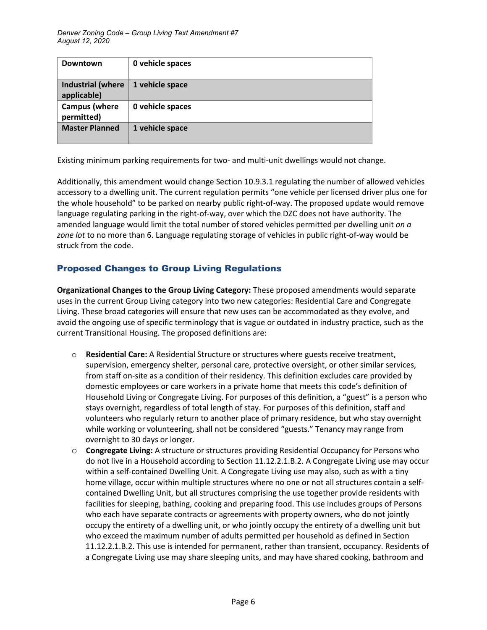| <b>Downtown</b>                         | 0 vehicle spaces |
|-----------------------------------------|------------------|
| <b>Industrial (where</b><br>applicable) | 1 vehicle space  |
| <b>Campus (where</b><br>permitted)      | 0 vehicle spaces |
| <b>Master Planned</b>                   | 1 vehicle space  |

Existing minimum parking requirements for two- and multi-unit dwellings would not change.

Additionally, this amendment would change Section 10.9.3.1 regulating the number of allowed vehicles accessory to a dwelling unit. The current regulation permits "one vehicle per licensed driver plus one for the whole household" to be parked on nearby public right-of-way. The proposed update would remove language regulating parking in the right-of-way, over which the DZC does not have authority. The amended language would limit the total number of stored vehicles permitted per dwelling unit *on a zone lot* to no more than 6. Language regulating storage of vehicles in public right-of-way would be struck from the code.

# Proposed Changes to Group Living Regulations

**Organizational Changes to the Group Living Category:** These proposed amendments would separate uses in the current Group Living category into two new categories: Residential Care and Congregate Living. These broad categories will ensure that new uses can be accommodated as they evolve, and avoid the ongoing use of specific terminology that is vague or outdated in industry practice, such as the current Transitional Housing. The proposed definitions are:

- o **Residential Care:** A Residential Structure or structures where guests receive treatment, supervision, emergency shelter, personal care, protective oversight, or other similar services, from staff on-site as a condition of their residency. This definition excludes care provided by domestic employees or care workers in a private home that meets this code's definition of Household Living or Congregate Living. For purposes of this definition, a "guest" is a person who stays overnight, regardless of total length of stay. For purposes of this definition, staff and volunteers who regularly return to another place of primary residence, but who stay overnight while working or volunteering, shall not be considered "guests." Tenancy may range from overnight to 30 days or longer.
- o **Congregate Living:** A structure or structures providing Residential Occupancy for Persons who do not live in a Household according to Section 11.12.2.1.B.2. A Congregate Living use may occur within a self-contained Dwelling Unit. A Congregate Living use may also, such as with a tiny home village, occur within multiple structures where no one or not all structures contain a selfcontained Dwelling Unit, but all structures comprising the use together provide residents with facilities for sleeping, bathing, cooking and preparing food. This use includes groups of Persons who each have separate contracts or agreements with property owners, who do not jointly occupy the entirety of a dwelling unit, or who jointly occupy the entirety of a dwelling unit but who exceed the maximum number of adults permitted per household as defined in Section 11.12.2.1.B.2. This use is intended for permanent, rather than transient, occupancy. Residents of a Congregate Living use may share sleeping units, and may have shared cooking, bathroom and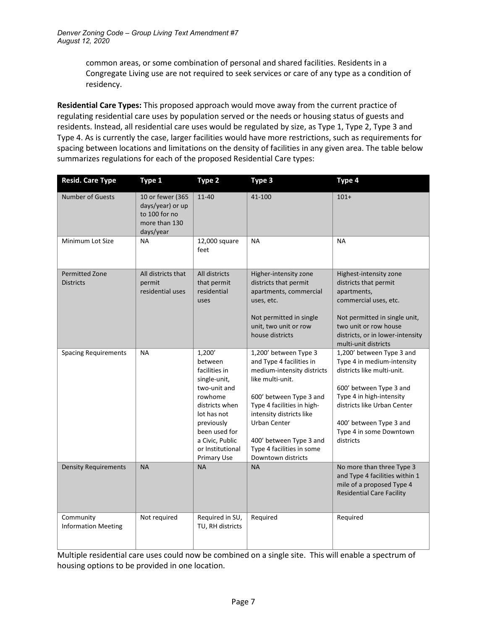common areas, or some combination of personal and shared facilities. Residents in a Congregate Living use are not required to seek services or care of any type as a condition of residency.

**Residential Care Types:** This proposed approach would move away from the current practice of regulating residential care uses by population served or the needs or housing status of guests and residents. Instead, all residential care uses would be regulated by size, as Type 1, Type 2, Type 3 and Type 4. As is currently the case, larger facilities would have more restrictions, such as requirements for spacing between locations and limitations on the density of facilities in any given area. The table below summarizes regulations for each of the proposed Residential Care types:

| <b>Resid. Care Type</b>                   | Type 1                                                                              | Type 2                                                                                                                                                                                                     | Type 3                                                                                                                                                                                                                                                                                 | Type 4                                                                                                                                                                                                                                         |
|-------------------------------------------|-------------------------------------------------------------------------------------|------------------------------------------------------------------------------------------------------------------------------------------------------------------------------------------------------------|----------------------------------------------------------------------------------------------------------------------------------------------------------------------------------------------------------------------------------------------------------------------------------------|------------------------------------------------------------------------------------------------------------------------------------------------------------------------------------------------------------------------------------------------|
| <b>Number of Guests</b>                   | 10 or fewer (365<br>days/year) or up<br>to 100 for no<br>more than 130<br>days/year | $11 - 40$                                                                                                                                                                                                  | 41-100                                                                                                                                                                                                                                                                                 | $101+$                                                                                                                                                                                                                                         |
| Minimum Lot Size                          | <b>NA</b>                                                                           | 12,000 square<br>feet                                                                                                                                                                                      | NА                                                                                                                                                                                                                                                                                     | <b>NA</b>                                                                                                                                                                                                                                      |
| <b>Permitted Zone</b><br><b>Districts</b> | All districts that<br>permit<br>residential uses                                    | All districts<br>that permit<br>residential<br>uses                                                                                                                                                        | Higher-intensity zone<br>districts that permit<br>apartments, commercial<br>uses, etc.<br>Not permitted in single<br>unit, two unit or row<br>house districts                                                                                                                          | Highest-intensity zone<br>districts that permit<br>apartments,<br>commercial uses, etc.<br>Not permitted in single unit,<br>two unit or row house<br>districts, or in lower-intensity<br>multi-unit districts                                  |
| <b>Spacing Requirements</b>               | <b>NA</b>                                                                           | 1,200'<br>between<br>facilities in<br>single-unit,<br>two-unit and<br>rowhome<br>districts when<br>lot has not<br>previously<br>been used for<br>a Civic, Public<br>or Institutional<br><b>Primary Use</b> | 1,200' between Type 3<br>and Type 4 facilities in<br>medium-intensity districts<br>like multi-unit.<br>600' between Type 3 and<br>Type 4 facilities in high-<br>intensity districts like<br>Urban Center<br>400' between Type 3 and<br>Type 4 facilities in some<br>Downtown districts | 1,200' between Type 3 and<br>Type 4 in medium-intensity<br>districts like multi-unit.<br>600' between Type 3 and<br>Type 4 in high-intensity<br>districts like Urban Center<br>400' between Type 3 and<br>Type 4 in some Downtown<br>districts |
| <b>Density Requirements</b>               | <b>NA</b>                                                                           | <b>NA</b>                                                                                                                                                                                                  | <b>NA</b>                                                                                                                                                                                                                                                                              | No more than three Type 3<br>and Type 4 facilities within 1<br>mile of a proposed Type 4<br><b>Residential Care Facility</b>                                                                                                                   |
| Community<br><b>Information Meeting</b>   | Not required                                                                        | Required in SU,<br>TU, RH districts                                                                                                                                                                        | Required                                                                                                                                                                                                                                                                               | Required                                                                                                                                                                                                                                       |

Multiple residential care uses could now be combined on a single site. This will enable a spectrum of housing options to be provided in one location.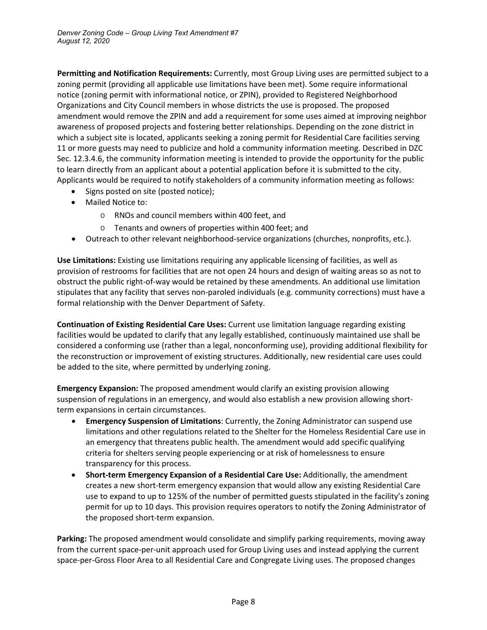**Permitting and Notification Requirements:** Currently, most Group Living uses are permitted subject to a zoning permit (providing all applicable use limitations have been met). Some require informational notice (zoning permit with informational notice, or ZPIN), provided to Registered Neighborhood Organizations and City Council members in whose districts the use is proposed. The proposed amendment would remove the ZPIN and add a requirement for some uses aimed at improving neighbor awareness of proposed projects and fostering better relationships. Depending on the zone district in which a subject site is located, applicants seeking a zoning permit for Residential Care facilities serving 11 or more guests may need to publicize and hold a community information meeting. Described in DZC Sec. 12.3.4.6, the community information meeting is intended to provide the opportunity for the public to learn directly from an applicant about a potential application before it is submitted to the city. Applicants would be required to notify stakeholders of a community information meeting as follows:

- Signs posted on site (posted notice);
- Mailed Notice to:
	- o RNOs and council members within 400 feet, and
	- o Tenants and owners of properties within 400 feet; and
- Outreach to other relevant neighborhood-service organizations (churches, nonprofits, etc.).

**Use Limitations:** Existing use limitations requiring any applicable licensing of facilities, as well as provision of restrooms for facilities that are not open 24 hours and design of waiting areas so as not to obstruct the public right-of-way would be retained by these amendments. An additional use limitation stipulates that any facility that serves non-paroled individuals (e.g. community corrections) must have a formal relationship with the Denver Department of Safety.

**Continuation of Existing Residential Care Uses:** Current use limitation language regarding existing facilities would be updated to clarify that any legally established, continuously maintained use shall be considered a conforming use (rather than a legal, nonconforming use), providing additional flexibility for the reconstruction or improvement of existing structures. Additionally, new residential care uses could be added to the site, where permitted by underlying zoning.

**Emergency Expansion:** The proposed amendment would clarify an existing provision allowing suspension of regulations in an emergency, and would also establish a new provision allowing shortterm expansions in certain circumstances.

- **Emergency Suspension of Limitations**: Currently, the Zoning Administrator can suspend use limitations and other regulations related to the Shelter for the Homeless Residential Care use in an emergency that threatens public health. The amendment would add specific qualifying criteria for shelters serving people experiencing or at risk of homelessness to ensure transparency for this process.
- **Short-term Emergency Expansion of a Residential Care Use:** Additionally, the amendment creates a new short-term emergency expansion that would allow any existing Residential Care use to expand to up to 125% of the number of permitted guests stipulated in the facility's zoning permit for up to 10 days. This provision requires operators to notify the Zoning Administrator of the proposed short-term expansion.

**Parking:** The proposed amendment would consolidate and simplify parking requirements, moving away from the current space-per-unit approach used for Group Living uses and instead applying the current space-per-Gross Floor Area to all Residential Care and Congregate Living uses. The proposed changes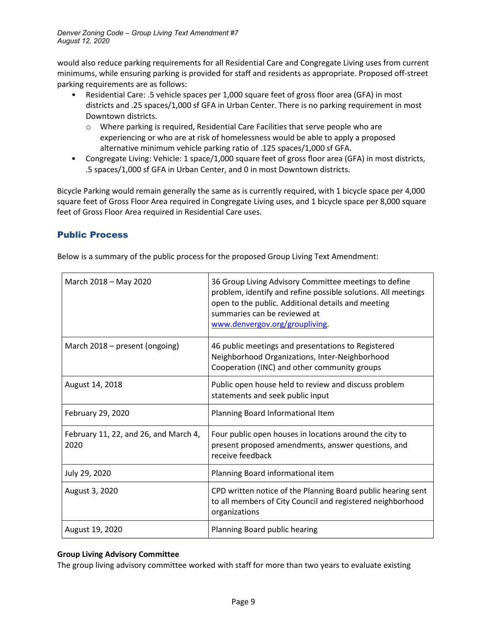would also reduce parking requirements for all Residential Care and Congregate Living uses from current minimums, while ensuring parking is provided for staff and residents as appropriate. Proposed off-street parking requirements are as follows:

- Residential Care: .5 vehicle spaces per 1,000 square feet of gross floor area (GFA) in most districts and .25 spaces/1,000 sf GFA in Urban Center. There is no parking requirement in most Downtown districts.
	- o Where parking is required, Residential Care Facilities that serve people who are experiencing or who are at risk of homelessness would be able to apply a proposed alternative minimum vehicle parking ratio of .125 spaces/1,000 sf GFA.
- Congregate Living: Vehicle: 1 space/1,000 square feet of gross floor area (GFA) in most districts, .5 spaces/1,000 sf GFA in Urban Center, and 0 in most Downtown districts.

Bicycle Parking would remain generally the same as is currently required, with 1 bicycle space per 4,000 square feet of Gross Floor Area required in Congregate Living uses, and 1 bicycle space per 8,000 square feet of Gross Floor Area required in Residential Care uses.

## Public Process

Below is a summary of the public process for the proposed Group Living Text Amendment:

| March 2018 - May 2020                         | 36 Group Living Advisory Committee meetings to define<br>problem, identify and refine possible solutions. All meetings<br>open to the public. Additional details and meeting<br>summaries can be reviewed at<br>www.denvergov.org/groupliving. |
|-----------------------------------------------|------------------------------------------------------------------------------------------------------------------------------------------------------------------------------------------------------------------------------------------------|
| March 2018 – present (ongoing)                | 46 public meetings and presentations to Registered<br>Neighborhood Organizations, Inter-Neighborhood<br>Cooperation (INC) and other community groups                                                                                           |
| August 14, 2018                               | Public open house held to review and discuss problem<br>statements and seek public input                                                                                                                                                       |
| February 29, 2020                             | Planning Board Informational Item                                                                                                                                                                                                              |
| February 11, 22, and 26, and March 4,<br>2020 | Four public open houses in locations around the city to<br>present proposed amendments, answer questions, and<br>receive feedback                                                                                                              |
| July 29, 2020                                 | Planning Board informational item                                                                                                                                                                                                              |
| August 3, 2020                                | CPD written notice of the Planning Board public hearing sent<br>to all members of City Council and registered neighborhood<br>organizations                                                                                                    |
| August 19, 2020                               | Planning Board public hearing                                                                                                                                                                                                                  |

### **Group Living Advisory Committee**

The group living advisory committee worked with staff for more than two years to evaluate existing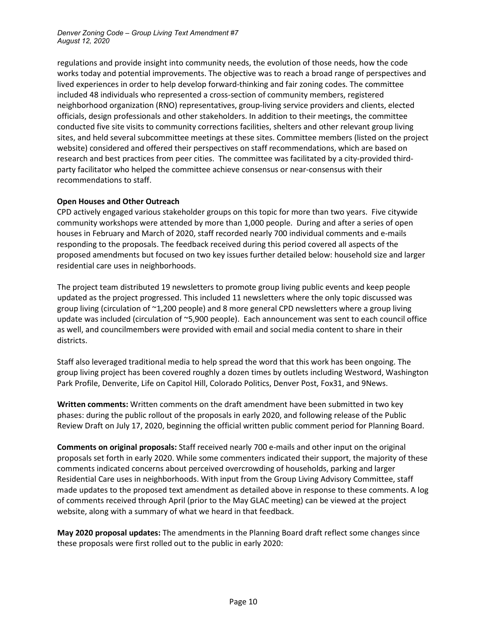regulations and provide insight into community needs, the evolution of those needs, how the code works today and potential improvements. The objective was to reach a broad range of perspectives and lived experiences in order to help develop forward-thinking and fair zoning codes. The committee included 48 individuals who represented a cross-section of community members, registered neighborhood organization (RNO) representatives, group-living service providers and clients, elected officials, design professionals and other stakeholders. In addition to their meetings, the committee conducted five site visits to community corrections facilities, shelters and other relevant group living sites, and held several subcommittee meetings at these sites. Committee members (listed on the project website) considered and offered their perspectives on staff recommendations, which are based on research and best practices from peer cities. The committee was facilitated by a city-provided thirdparty facilitator who helped the committee achieve consensus or near-consensus with their recommendations to staff.

### **Open Houses and Other Outreach**

CPD actively engaged various stakeholder groups on this topic for more than two years. Five citywide community workshops were attended by more than 1,000 people. During and after a series of open houses in February and March of 2020, staff recorded nearly 700 individual comments and e-mails responding to the proposals. The feedback received during this period covered all aspects of the proposed amendments but focused on two key issues further detailed below: household size and larger residential care uses in neighborhoods.

The project team distributed 19 newsletters to promote group living public events and keep people updated as the project progressed. This included 11 newsletters where the only topic discussed was group living (circulation of ~1,200 people) and 8 more general CPD newsletters where a group living update was included (circulation of ~5,900 people). Each announcement was sent to each council office as well, and councilmembers were provided with email and social media content to share in their districts.

Staff also leveraged traditional media to help spread the word that this work has been ongoing. The group living project has been covered roughly a dozen times by outlets including Westword, Washington Park Profile, Denverite, Life on Capitol Hill, Colorado Politics, Denver Post, Fox31, and 9News.

**Written comments:** Written comments on the draft amendment have been submitted in two key phases: during the public rollout of the proposals in early 2020, and following release of the Public Review Draft on July 17, 2020, beginning the official written public comment period for Planning Board.

**Comments on original proposals:** Staff received nearly 700 e-mails and other input on the original proposals set forth in early 2020. While some commenters indicated their support, the majority of these comments indicated concerns about perceived overcrowding of households, parking and larger Residential Care uses in neighborhoods. With input from the Group Living Advisory Committee, staff made updates to the proposed text amendment as detailed above in response to these comments. A log of comments received through April (prior to the May GLAC meeting) can be viewed at the project website, along with a summary of what we heard in that feedback.

**May 2020 proposal updates:** The amendments in the Planning Board draft reflect some changes since these proposals were first rolled out to the public in early 2020: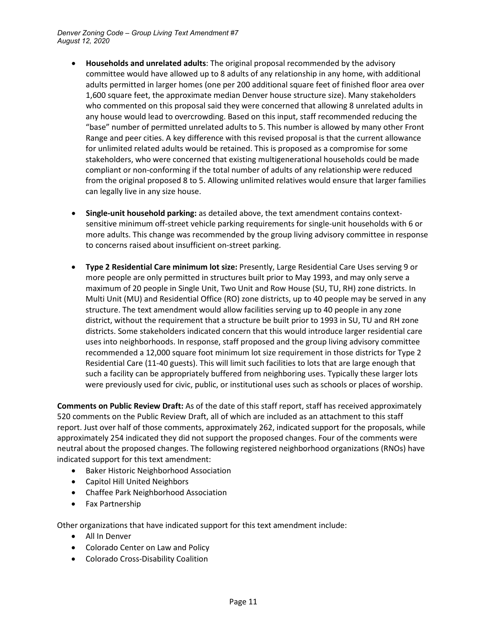- **Households and unrelated adults**: The original proposal recommended by the advisory committee would have allowed up to 8 adults of any relationship in any home, with additional adults permitted in larger homes (one per 200 additional square feet of finished floor area over 1,600 square feet, the approximate median Denver house structure size). Many stakeholders who commented on this proposal said they were concerned that allowing 8 unrelated adults in any house would lead to overcrowding. Based on this input, staff recommended reducing the "base" number of permitted unrelated adults to 5. This number is allowed by many other Front Range and peer cities. A key difference with this revised proposal is that the current allowance for unlimited related adults would be retained. This is proposed as a compromise for some stakeholders, who were concerned that existing multigenerational households could be made compliant or non-conforming if the total number of adults of any relationship were reduced from the original proposed 8 to 5. Allowing unlimited relatives would ensure that larger families can legally live in any size house.
- **Single-unit household parking:** as detailed above, the text amendment contains contextsensitive minimum off-street vehicle parking requirements for single-unit households with 6 or more adults. This change was recommended by the group living advisory committee in response to concerns raised about insufficient on-street parking.
- **Type 2 Residential Care minimum lot size:** Presently, Large Residential Care Uses serving 9 or more people are only permitted in structures built prior to May 1993, and may only serve a maximum of 20 people in Single Unit, Two Unit and Row House (SU, TU, RH) zone districts. In Multi Unit (MU) and Residential Office (RO) zone districts, up to 40 people may be served in any structure. The text amendment would allow facilities serving up to 40 people in any zone district, without the requirement that a structure be built prior to 1993 in SU, TU and RH zone districts. Some stakeholders indicated concern that this would introduce larger residential care uses into neighborhoods. In response, staff proposed and the group living advisory committee recommended a 12,000 square foot minimum lot size requirement in those districts for Type 2 Residential Care (11-40 guests). This will limit such facilities to lots that are large enough that such a facility can be appropriately buffered from neighboring uses. Typically these larger lots were previously used for civic, public, or institutional uses such as schools or places of worship.

**Comments on Public Review Draft:** As of the date of this staff report, staff has received approximately 520 comments on the Public Review Draft, all of which are included as an attachment to this staff report. Just over half of those comments, approximately 262, indicated support for the proposals, while approximately 254 indicated they did not support the proposed changes. Four of the comments were neutral about the proposed changes. The following registered neighborhood organizations (RNOs) have indicated support for this text amendment:

- Baker Historic Neighborhood Association
- Capitol Hill United Neighbors
- Chaffee Park Neighborhood Association
- Fax Partnership

Other organizations that have indicated support for this text amendment include:

- All In Denver
- Colorado Center on Law and Policy
- Colorado Cross-Disability Coalition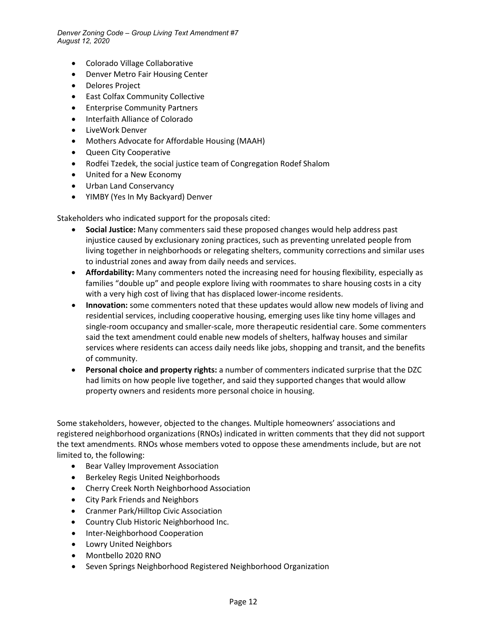- Colorado Village Collaborative
- Denver Metro Fair Housing Center
- Delores Project
- East Colfax Community Collective
- Enterprise Community Partners
- Interfaith Alliance of Colorado
- LiveWork Denver
- Mothers Advocate for Affordable Housing (MAAH)
- Queen City Cooperative
- Rodfei Tzedek, the social justice team of Congregation Rodef Shalom
- United for a New Economy
- Urban Land Conservancy
- YIMBY (Yes In My Backyard) Denver

Stakeholders who indicated support for the proposals cited:

- **Social Justice:** Many commenters said these proposed changes would help address past injustice caused by exclusionary zoning practices, such as preventing unrelated people from living together in neighborhoods or relegating shelters, community corrections and similar uses to industrial zones and away from daily needs and services.
- **Affordability:** Many commenters noted the increasing need for housing flexibility, especially as families "double up" and people explore living with roommates to share housing costs in a city with a very high cost of living that has displaced lower-income residents.
- **Innovation:** some commenters noted that these updates would allow new models of living and residential services, including cooperative housing, emerging uses like tiny home villages and single-room occupancy and smaller-scale, more therapeutic residential care. Some commenters said the text amendment could enable new models of shelters, halfway houses and similar services where residents can access daily needs like jobs, shopping and transit, and the benefits of community.
- **Personal choice and property rights:** a number of commenters indicated surprise that the DZC had limits on how people live together, and said they supported changes that would allow property owners and residents more personal choice in housing.

Some stakeholders, however, objected to the changes. Multiple homeowners' associations and registered neighborhood organizations (RNOs) indicated in written comments that they did not support the text amendments. RNOs whose members voted to oppose these amendments include, but are not limited to, the following:

- Bear Valley Improvement Association
- Berkeley Regis United Neighborhoods
- Cherry Creek North Neighborhood Association
- City Park Friends and Neighbors
- Cranmer Park/Hilltop Civic Association
- Country Club Historic Neighborhood Inc.
- Inter-Neighborhood Cooperation
- Lowry United Neighbors
- Montbello 2020 RNO
- Seven Springs Neighborhood Registered Neighborhood Organization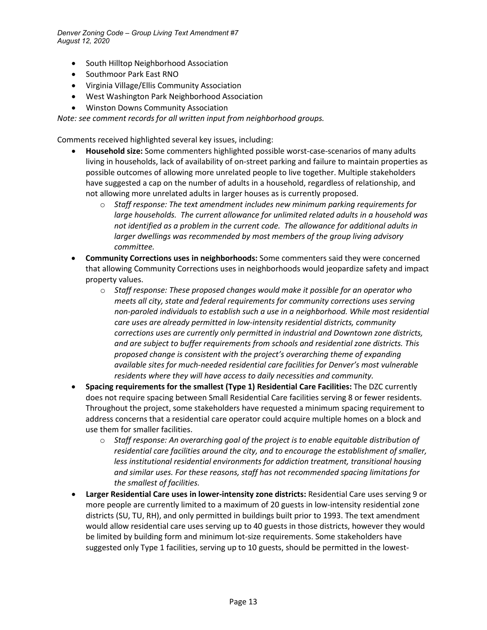- South Hilltop Neighborhood Association
- Southmoor Park East RNO
- Virginia Village/Ellis Community Association
- West Washington Park Neighborhood Association
- Winston Downs Community Association

*Note: see comment records for all written input from neighborhood groups.*

Comments received highlighted several key issues, including:

- **Household size:** Some commenters highlighted possible worst-case-scenarios of many adults living in households, lack of availability of on-street parking and failure to maintain properties as possible outcomes of allowing more unrelated people to live together. Multiple stakeholders have suggested a cap on the number of adults in a household, regardless of relationship, and not allowing more unrelated adults in larger houses as is currently proposed.
	- o *Staff response: The text amendment includes new minimum parking requirements for large households. The current allowance for unlimited related adults in a household was not identified as a problem in the current code. The allowance for additional adults in larger dwellings was recommended by most members of the group living advisory committee.*
- **Community Corrections uses in neighborhoods:** Some commenters said they were concerned that allowing Community Corrections uses in neighborhoods would jeopardize safety and impact property values.
	- o *Staff response: These proposed changes would make it possible for an operator who meets all city, state and federal requirements for community corrections uses serving non-paroled individuals to establish such a use in a neighborhood. While most residential care uses are already permitted in low-intensity residential districts, community corrections uses are currently only permitted in industrial and Downtown zone districts, and are subject to buffer requirements from schools and residential zone districts. This proposed change is consistent with the project's overarching theme of expanding available sites for much-needed residential care facilities for Denver's most vulnerable residents where they will have access to daily necessities and community.*
- **Spacing requirements for the smallest (Type 1) Residential Care Facilities:** The DZC currently does not require spacing between Small Residential Care facilities serving 8 or fewer residents. Throughout the project, some stakeholders have requested a minimum spacing requirement to address concerns that a residential care operator could acquire multiple homes on a block and use them for smaller facilities.
	- o *Staff response: An overarching goal of the project is to enable equitable distribution of residential care facilities around the city, and to encourage the establishment of smaller, less institutional residential environments for addiction treatment, transitional housing and similar uses. For these reasons, staff has not recommended spacing limitations for the smallest of facilities.*
- **Larger Residential Care uses in lower-intensity zone districts:** Residential Care uses serving 9 or more people are currently limited to a maximum of 20 guests in low-intensity residential zone districts (SU, TU, RH), and only permitted in buildings built prior to 1993. The text amendment would allow residential care uses serving up to 40 guests in those districts, however they would be limited by building form and minimum lot-size requirements. Some stakeholders have suggested only Type 1 facilities, serving up to 10 guests, should be permitted in the lowest-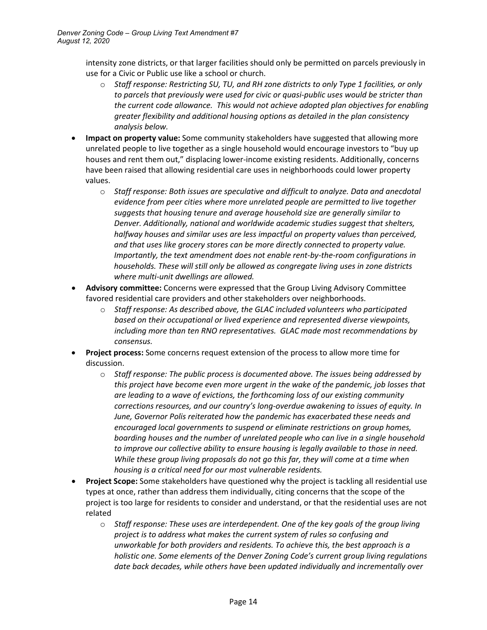intensity zone districts, or that larger facilities should only be permitted on parcels previously in use for a Civic or Public use like a school or church.

- o *Staff response: Restricting SU, TU, and RH zone districts to only Type 1 facilities, or only to parcels that previously were used for civic or quasi-public uses would be stricter than the current code allowance. This would not achieve adopted plan objectives for enabling greater flexibility and additional housing options as detailed in the plan consistency analysis below.*
- **Impact on property value:** Some community stakeholders have suggested that allowing more unrelated people to live together as a single household would encourage investors to "buy up houses and rent them out," displacing lower-income existing residents. Additionally, concerns have been raised that allowing residential care uses in neighborhoods could lower property values.
	- o *Staff response: Both issues are speculative and difficult to analyze. Data and anecdotal evidence from peer cities where more unrelated people are permitted to live together suggests that housing tenure and average household size are generally similar to Denver. Additionally, national and worldwide academic studies suggest that shelters, halfway houses and similar uses are less impactful on property values than perceived, and that uses like grocery stores can be more directly connected to property value. Importantly, the text amendment does not enable rent-by-the-room configurations in households. These will still only be allowed as congregate living uses in zone districts where multi-unit dwellings are allowed.*
- **Advisory committee:** Concerns were expressed that the Group Living Advisory Committee favored residential care providers and other stakeholders over neighborhoods.
	- o *Staff response: As described above, the GLAC included volunteers who participated based on their occupational or lived experience and represented diverse viewpoints, including more than ten RNO representatives. GLAC made most recommendations by consensus.*
- **Project process:** Some concerns request extension of the process to allow more time for discussion.
	- o *Staff response: The public process is documented above. The issues being addressed by this project have become even more urgent in the wake of the pandemic, job losses that are leading to a wave of evictions, the forthcoming loss of our existing community corrections resources, and our country's long-overdue awakening to issues of equity. In June, Governor Polis reiterated how the pandemic has exacerbated these needs and encouraged local governments to suspend or eliminate restrictions on group homes, boarding houses and the number of unrelated people who can live in a single household to improve our collective ability to ensure housing is legally available to those in need. While these group living proposals do not go this far, they will come at a time when housing is a critical need for our most vulnerable residents.*
- **Project Scope:** Some stakeholders have questioned why the project is tackling all residential use types at once, rather than address them individually, citing concerns that the scope of the project is too large for residents to consider and understand, or that the residential uses are not related
	- o *Staff response: These uses are interdependent. One of the key goals of the group living project is to address what makes the current system of rules so confusing and unworkable for both providers and residents. To achieve this, the best approach is a holistic one. Some elements of the Denver Zoning Code's current group living regulations date back decades, while others have been updated individually and incrementally over*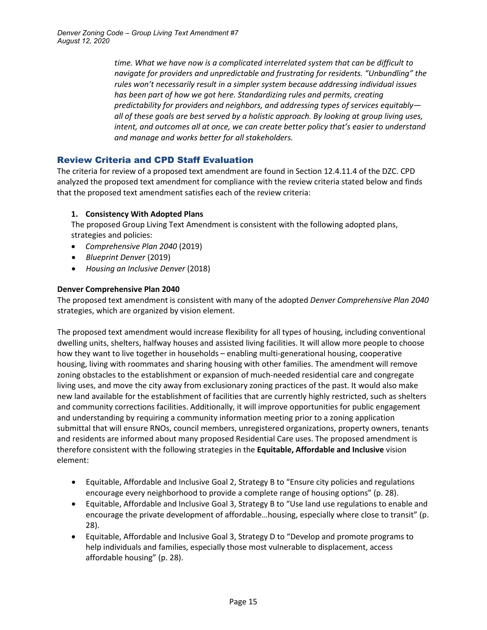*time. What we have now is a complicated interrelated system that can be difficult to navigate for providers and unpredictable and frustrating for residents. "Unbundling" the rules won't necessarily result in a simpler system because addressing individual issues has been part of how we got here. Standardizing rules and permits, creating predictability for providers and neighbors, and addressing types of services equitably all of these goals are best served by a holistic approach. By looking at group living uses, intent, and outcomes all at once, we can create better policy that's easier to understand and manage and works better for all stakeholders.*

# Review Criteria and CPD Staff Evaluation

The criteria for review of a proposed text amendment are found in Section 12.4.11.4 of the DZC. CPD analyzed the proposed text amendment for compliance with the review criteria stated below and finds that the proposed text amendment satisfies each of the review criteria:

## **1. Consistency With Adopted Plans**

The proposed Group Living Text Amendment is consistent with the following adopted plans, strategies and policies:

- *Comprehensive Plan 2040* (2019)
- *Blueprint Denver* (2019)
- *Housing an Inclusive Denver* (2018)

## **Denver Comprehensive Plan 2040**

The proposed text amendment is consistent with many of the adopted *Denver Comprehensive Plan 2040* strategies, which are organized by vision element.

The proposed text amendment would increase flexibility for all types of housing, including conventional dwelling units, shelters, halfway houses and assisted living facilities. It will allow more people to choose how they want to live together in households – enabling multi-generational housing, cooperative housing, living with roommates and sharing housing with other families. The amendment will remove zoning obstacles to the establishment or expansion of much-needed residential care and congregate living uses, and move the city away from exclusionary zoning practices of the past. It would also make new land available for the establishment of facilities that are currently highly restricted, such as shelters and community corrections facilities. Additionally, it will improve opportunities for public engagement and understanding by requiring a community information meeting prior to a zoning application submittal that will ensure RNOs, council members, unregistered organizations, property owners, tenants and residents are informed about many proposed Residential Care uses. The proposed amendment is therefore consistent with the following strategies in the **Equitable, Affordable and Inclusive** vision element:

- Equitable, Affordable and Inclusive Goal 2, Strategy B to "Ensure city policies and regulations encourage every neighborhood to provide a complete range of housing options" (p. 28).
- Equitable, Affordable and Inclusive Goal 3, Strategy B to "Use land use regulations to enable and encourage the private development of affordable…housing, especially where close to transit" (p. 28).
- Equitable, Affordable and Inclusive Goal 3, Strategy D to "Develop and promote programs to help individuals and families, especially those most vulnerable to displacement, access affordable housing" (p. 28).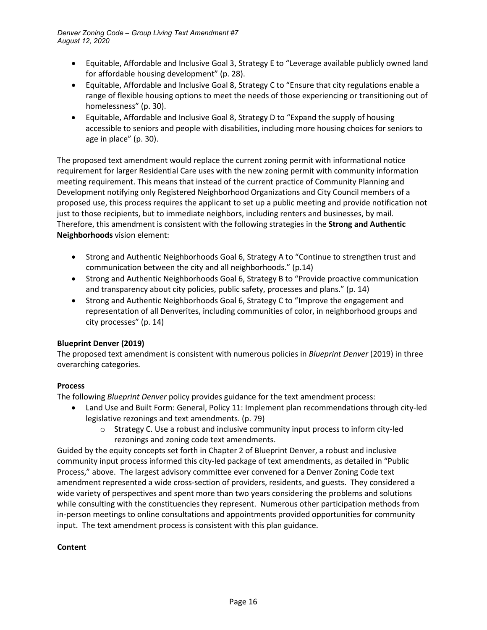- Equitable, Affordable and Inclusive Goal 3, Strategy E to "Leverage available publicly owned land for affordable housing development" (p. 28).
- Equitable, Affordable and Inclusive Goal 8, Strategy C to "Ensure that city regulations enable a range of flexible housing options to meet the needs of those experiencing or transitioning out of homelessness" (p. 30).
- Equitable, Affordable and Inclusive Goal 8, Strategy D to "Expand the supply of housing accessible to seniors and people with disabilities, including more housing choices for seniors to age in place" (p. 30).

The proposed text amendment would replace the current zoning permit with informational notice requirement for larger Residential Care uses with the new zoning permit with community information meeting requirement. This means that instead of the current practice of Community Planning and Development notifying only Registered Neighborhood Organizations and City Council members of a proposed use, this process requires the applicant to set up a public meeting and provide notification not just to those recipients, but to immediate neighbors, including renters and businesses, by mail. Therefore, this amendment is consistent with the following strategies in the **Strong and Authentic Neighborhoods** vision element:

- Strong and Authentic Neighborhoods Goal 6, Strategy A to "Continue to strengthen trust and communication between the city and all neighborhoods." (p.14)
- Strong and Authentic Neighborhoods Goal 6, Strategy B to "Provide proactive communication and transparency about city policies, public safety, processes and plans." (p. 14)
- Strong and Authentic Neighborhoods Goal 6, Strategy C to "Improve the engagement and representation of all Denverites, including communities of color, in neighborhood groups and city processes" (p. 14)

## **Blueprint Denver (2019)**

The proposed text amendment is consistent with numerous policies in *Blueprint Denver* (2019) in three overarching categories.

## **Process**

The following *Blueprint Denver* policy provides guidance for the text amendment process:

- Land Use and Built Form: General, Policy 11: Implement plan recommendations through city-led legislative rezonings and text amendments. (p. 79)
	- $\circ$  Strategy C. Use a robust and inclusive community input process to inform city-led rezonings and zoning code text amendments.

Guided by the equity concepts set forth in Chapter 2 of Blueprint Denver, a robust and inclusive community input process informed this city-led package of text amendments, as detailed in "Public Process," above. The largest advisory committee ever convened for a Denver Zoning Code text amendment represented a wide cross-section of providers, residents, and guests. They considered a wide variety of perspectives and spent more than two years considering the problems and solutions while consulting with the constituencies they represent. Numerous other participation methods from in-person meetings to online consultations and appointments provided opportunities for community input. The text amendment process is consistent with this plan guidance.

## **Content**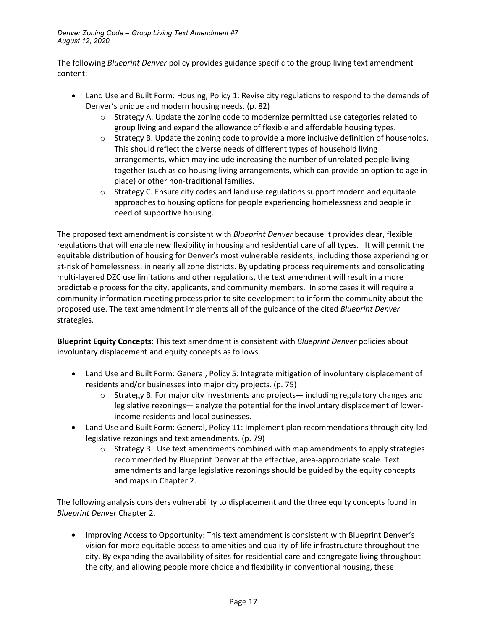The following *Blueprint Denver* policy provides guidance specific to the group living text amendment content:

- Land Use and Built Form: Housing, Policy 1: Revise city regulations to respond to the demands of Denver's unique and modern housing needs. (p. 82)
	- $\circ$  Strategy A. Update the zoning code to modernize permitted use categories related to group living and expand the allowance of flexible and affordable housing types.
	- o Strategy B. Update the zoning code to provide a more inclusive definition of households. This should reflect the diverse needs of different types of household living arrangements, which may include increasing the number of unrelated people living together (such as co-housing living arrangements, which can provide an option to age in place) or other non-traditional families.
	- $\circ$  Strategy C. Ensure city codes and land use regulations support modern and equitable approaches to housing options for people experiencing homelessness and people in need of supportive housing.

The proposed text amendment is consistent with *Blueprint Denver* because it provides clear, flexible regulations that will enable new flexibility in housing and residential care of all types. It will permit the equitable distribution of housing for Denver's most vulnerable residents, including those experiencing or at-risk of homelessness, in nearly all zone districts. By updating process requirements and consolidating multi-layered DZC use limitations and other regulations, the text amendment will result in a more predictable process for the city, applicants, and community members. In some cases it will require a community information meeting process prior to site development to inform the community about the proposed use. The text amendment implements all of the guidance of the cited *Blueprint Denver* strategies.

**Blueprint Equity Concepts:** This text amendment is consistent with *Blueprint Denver* policies about involuntary displacement and equity concepts as follows.

- Land Use and Built Form: General, Policy 5: Integrate mitigation of involuntary displacement of residents and/or businesses into major city projects. (p. 75)
	- $\circ$  Strategy B. For major city investments and projects— including regulatory changes and legislative rezonings— analyze the potential for the involuntary displacement of lowerincome residents and local businesses.
- Land Use and Built Form: General, Policy 11: Implement plan recommendations through city-led legislative rezonings and text amendments. (p. 79)
	- $\circ$  Strategy B. Use text amendments combined with map amendments to apply strategies recommended by Blueprint Denver at the effective, area-appropriate scale. Text amendments and large legislative rezonings should be guided by the equity concepts and maps in Chapter 2.

The following analysis considers vulnerability to displacement and the three equity concepts found in *Blueprint Denver* Chapter 2.

• Improving Access to Opportunity: This text amendment is consistent with Blueprint Denver's vision for more equitable access to amenities and quality-of-life infrastructure throughout the city. By expanding the availability of sites for residential care and congregate living throughout the city, and allowing people more choice and flexibility in conventional housing, these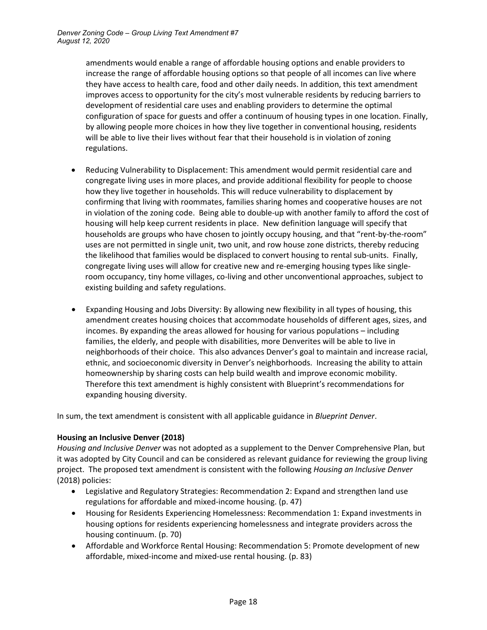amendments would enable a range of affordable housing options and enable providers to increase the range of affordable housing options so that people of all incomes can live where they have access to health care, food and other daily needs. In addition, this text amendment improves access to opportunity for the city's most vulnerable residents by reducing barriers to development of residential care uses and enabling providers to determine the optimal configuration of space for guests and offer a continuum of housing types in one location. Finally, by allowing people more choices in how they live together in conventional housing, residents will be able to live their lives without fear that their household is in violation of zoning regulations.

- Reducing Vulnerability to Displacement: This amendment would permit residential care and congregate living uses in more places, and provide additional flexibility for people to choose how they live together in households. This will reduce vulnerability to displacement by confirming that living with roommates, families sharing homes and cooperative houses are not in violation of the zoning code. Being able to double-up with another family to afford the cost of housing will help keep current residents in place. New definition language will specify that households are groups who have chosen to jointly occupy housing, and that "rent-by-the-room" uses are not permitted in single unit, two unit, and row house zone districts, thereby reducing the likelihood that families would be displaced to convert housing to rental sub-units. Finally, congregate living uses will allow for creative new and re-emerging housing types like singleroom occupancy, tiny home villages, co-living and other unconventional approaches, subject to existing building and safety regulations.
- Expanding Housing and Jobs Diversity: By allowing new flexibility in all types of housing, this amendment creates housing choices that accommodate households of different ages, sizes, and incomes. By expanding the areas allowed for housing for various populations – including families, the elderly, and people with disabilities, more Denverites will be able to live in neighborhoods of their choice. This also advances Denver's goal to maintain and increase racial, ethnic, and socioeconomic diversity in Denver's neighborhoods. Increasing the ability to attain homeownership by sharing costs can help build wealth and improve economic mobility. Therefore this text amendment is highly consistent with Blueprint's recommendations for expanding housing diversity.

In sum, the text amendment is consistent with all applicable guidance in *Blueprint Denver*.

### **Housing an Inclusive Denver (2018)**

*Housing and Inclusive Denver* was not adopted as a supplement to the Denver Comprehensive Plan, but it was adopted by City Council and can be considered as relevant guidance for reviewing the group living project. The proposed text amendment is consistent with the following *Housing an Inclusive Denver* (2018) policies:

- Legislative and Regulatory Strategies: Recommendation 2: Expand and strengthen land use regulations for affordable and mixed-income housing. (p. 47)
- Housing for Residents Experiencing Homelessness: Recommendation 1: Expand investments in housing options for residents experiencing homelessness and integrate providers across the housing continuum. (p. 70)
- Affordable and Workforce Rental Housing: Recommendation 5: Promote development of new affordable, mixed-income and mixed-use rental housing. (p. 83)